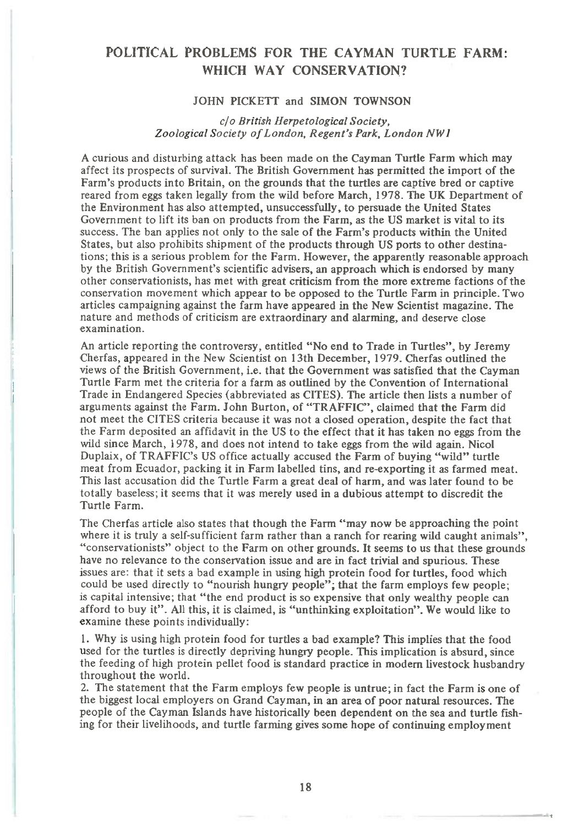## **POLITICAL PROBLEMS FOR THE CAYMAN TURTLE FARM: WHICH WAY CONSERVATION?**

## JOHN PICKETT and SIMON TOWNSON

## *c/o British Herpetological Society, Zoological Society of London, Regent's Park, London NW I*

A curious and disturbing attack has been made on the Cayman Turtle Farm which may affect its prospects of survival. The British Government has permitted the import of the Farm's products into Britain, on the grounds that the turtles are captive bred or captive reared from eggs taken legally from the wild before March, 1978. The UK Department of the Environment has also attempted, unsuccessfully, to persuade the United States Government to lift its ban on products from the Farm, as the US market is vital to its success. The ban applies not only to the sale of the Farm's products within the United States, but also prohibits shipment of the products through US ports to other destinations; this is a serious problem for the Farm. However, the apparently reasonable approach by the British Government's scientific advisers, an approach which is endorsed by many other conservationists, has met with great criticism from the more extreme factions of the conservation movement which appear to be opposed to the Turtle Farm in principle. Two articles campaigning against the farm have appeared in the New Scientist magazine. The nature and methods of criticism are extraordinary and alarming, and deserve close examination.

An article reporting the controversy, entitled "No end to Trade in Turtles", by Jeremy Cherfas, appeared in the New Scientist on 13th December, 1979. Cherfas outlined the views of the British Government, i.e. that the Government was satisfied that the Cayman Turtle Farm met the criteria for a farm as outlined by the Convention of International Trade in Endangered Species (abbreviated as CITES). The article then lists a number of arguments against the Farm. John Burton, of "TRAFFIC", claimed that the Farm did not meet the CITES criteria because it was not a closed operation, despite the fact that the Farm deposited an affidavit in the US to the effect that it has taken no eggs from the wild since March, 1978, and does not intend to take eggs from the wild again. Nicol Duplaix, of TRAFFIC's US office actually accused the Farm of buying "wild" turtle meat from Ecuador, packing it in Farm labelled tins, and re-exporting it as farmed meat. This last accusation did the Turtle Farm a great deal of harm, and was later found to be totally baseless; it seems that it was merely used in a dubious attempt to discredit the Turtle Farm.

The Cherfas article also states that though the Farm "may now be approaching the point where it is truly a self-sufficient farm rather than a ranch for rearing wild caught animals". "conservationists" object to the Farm on other grounds. It seems to us that these grounds have no relevance to the conservation issue and are in fact trivial and spurious. These issues are: that it sets a bad example in using high protein food for turtles, food which could be used directly to "nourish hungry people"; that the farm employs few people; is capital intensive; that "the end product is so expensive that only wealthy people can afford to buy it". All this, it is claimed, is "unthinking exploitation". We would like to examine these points individually:

1. Why is using high protein food for turtles a bad example? This implies that the food used for the turtles is directly depriving hungry people. This implication is absurd, since the feeding of high protein pellet food is standard practice in modern livestock husbandry throughout the world.

2. The statement that the Farm employs few people is untrue; in fact the Farm is one of the biggest local employers on Grand Cayman, in an area of poor natural resources. The people of the Cayman Islands have historically been dependent on the sea and turtle fishing for their livelihoods, and turtle farming gives some hope of continuing employment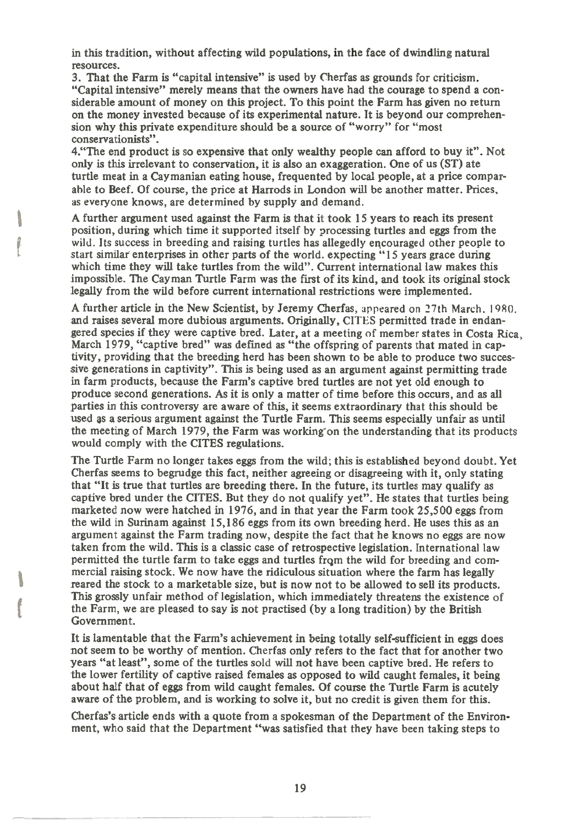**in this tradition, without affecting wild populations, in the face of dwindling natural resources.** 

**3. That the Farm is "capital intensive" is used by Cherfas as grounds for criticism. "Capital intensive" merely means that the owners have had the courage to spend a considerable amount of money on this project. To this point the Farm has given no return on the money invested because of its experimental nature. It is beyond our comprehension why this private expenditure should be a source of "worry" for "most conservationists".** 

**4."The end product is so expensive that only wealthy people can afford to buy it". Not only is this irrelevant to conservation, it is also an exaggeration. One of us (ST) ate turtle meat in a Caymanian eating house, frequented by local people, at a price comparable to Beef. Of course, the price at Harrods in London will be another matter. Prices, as everyone knows, are determined by supply and demand.** 

**A further argument used against the Farm is that it took 15 years to reach its present position, during which time it supported itself by processing turtles and eggs from the**  wild. **Its success in breeding and raising turtles has allegedly encouraged other people to start similar enterprises in other parts of the world. expecting "15 years grace during which time they will take turtles from the wild". Current international law makes this impossible. The Cayman Turtle Farm was the first of its kind, and took its original stock legally from the wild before current international restrictions were implemented.** 

**A further article in the New Scientist, by Jeremy Cherfas,** appeared on 27th March. I 9RO. **and raises several more dubious arguments. Originally, CITES permitted trade in endangered species if they were captive bred. Later, at a meeting of member states in Costa Rica, March 1979, "captive bred" was defined as "the offspring of parents that mated in captivity, providing that the breeding herd has been shown to be able to produce two successive generations in captivity". This is being used as an argument against permitting trade in farm products, because the Farm's captive bred turtles are not yet old enough to produce second generations. As it is only a matter of time before this occurs, and as all parties in this controversy are aware of this, it seems extraordinary that this should be used as a serious argument against the Turtle Farm. This seems especially unfair as until**  the meeting of March 1979, the Farm was working on the understanding that its products **would comply with the CITES regulations.** 

**The Turtle Farm no longer takes eggs from the wild; this is established beyond doubt. Yet Cherfas seems to begrudge this fact, neither agreeing or disagreeing with it, only stating that "It is true that turtles are breeding there. In the future, its turtles may qualify as captive bred under the CITES. But they do not qualify yet". He states that turtles being marketed now were hatched in 1976, and in that year the Farm took 25,500 eggs from the wild in Surinam against 15,186 eggs from its own breeding herd. He uses this as an argument against the Farm trading now, despite the fact that he knows no eggs are now taken from the wild. This is a classic case of retrospective legislation. International law permitted the turtle farm to take eggs and turtles frqm the wild for breeding and commercial raising stock. We now have the ridiculous situation where the farm has legally reared the stock to a marketable size, but is now not to be allowed to sell its products. This grossly unfair method of legislation, which immediately threatens the existence of the Farm, we are pleased to say is not practised (by a long tradition) by the British Government.** 

**It is lamentable that the Farm's achievement in being totally self-sufficient in eggs does not seem to be worthy of mention. Cherfas only refers to the fact that for another two years "at least", some of the turtles** sold **will not have been captive bred. He refers to the lower fertility of captive raised females as opposed to wild caught females, it being about half that of eggs from wild caught females. Of course the Turtle Farm is acutely aware of the problem, and is working to solve it, but no credit is given them for this.** 

**Cherfas's article ends with a quote from a spokesman of the Department of the Environment, who said that the Department "was satisfied that they have been taking steps to**